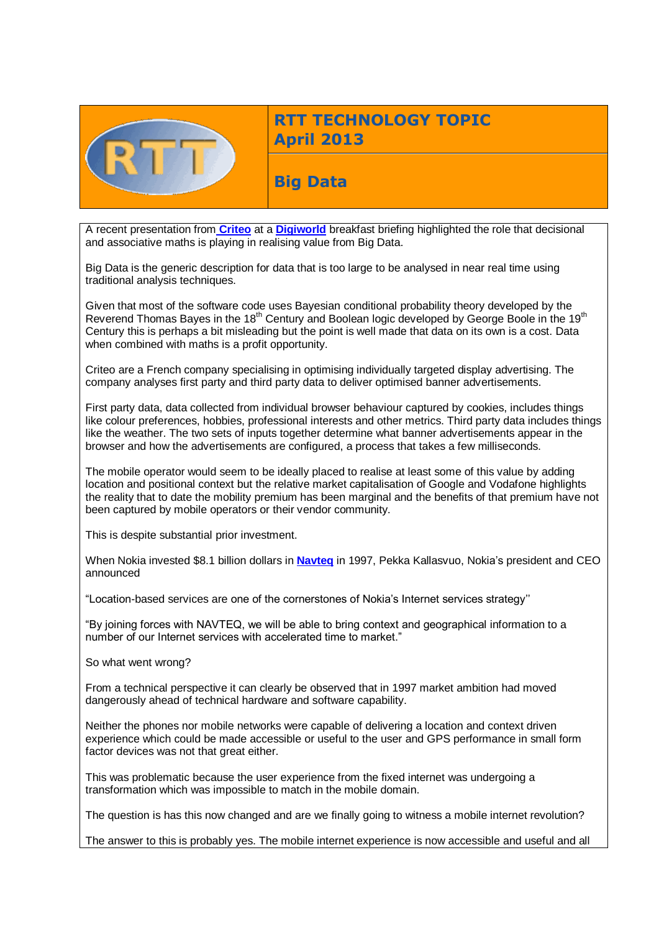

# **RTT TECHNOLOGY TOPIC April 2013**

**Big Data**

A recent presentation from **[Criteo](http://www.criteo.com/))** at a **[Digiworld](http://digiworld.org/en/Home/)** breakfast briefing highlighted the role that decisional and associative maths is playing in realising value from Big Data.

Big Data is the generic description for data that is too large to be analysed in near real time using traditional analysis techniques.

Given that most of the software code uses Bayesian conditional probability theory developed by the Reverend Thomas Bayes in the 18<sup>th</sup> Century and Boolean logic developed by George Boole in the 19<sup>th</sup> Century this is perhaps a bit misleading but the point is well made that data on its own is a cost. Data when combined with maths is a profit opportunity.

Criteo are a French company specialising in optimising individually targeted display advertising. The company analyses first party and third party data to deliver optimised banner advertisements.

First party data, data collected from individual browser behaviour captured by cookies, includes things like colour preferences, hobbies, professional interests and other metrics. Third party data includes things like the weather. The two sets of inputs together determine what banner advertisements appear in the browser and how the advertisements are configured, a process that takes a few milliseconds.

The mobile operator would seem to be ideally placed to realise at least some of this value by adding location and positional context but the relative market capitalisation of Google and Vodafone highlights the reality that to date the mobility premium has been marginal and the benefits of that premium have not been captured by mobile operators or their vendor community.

This is despite substantial prior investment.

When Nokia invested \$8.1 billion dollars in **[Navteq](http://www.navigation.com/is-bin/INTERSHOP.enfinity/WFS/Navteq-NavteqEurope-Site/en_EN/-/GBP/View-Static?Page=SupportPage4&NewLocaleID=en_EN&NewDomainName=Navteq-NavteqEurope-Site&cwt=application/ApplicationFrame_campaign&ProgramUUID=5hcKCghB8loAAAEr4eIXa_is&utm_campaign=Navteq-Affiliates&utm_medium=text-advertising&utm_source=EN-Affiliates)** in 1997, Pekka Kallasvuo, Nokia's president and CEO announced

"Location-based services are one of the cornerstones of Nokia's Internet services strategy''

"By joining forces with NAVTEQ, we will be able to bring context and geographical information to a number of our Internet services with accelerated time to market."

So what went wrong?

From a technical perspective it can clearly be observed that in 1997 market ambition had moved dangerously ahead of technical hardware and software capability.

Neither the phones nor mobile networks were capable of delivering a location and context driven experience which could be made accessible or useful to the user and GPS performance in small form factor devices was not that great either.

This was problematic because the user experience from the fixed internet was undergoing a transformation which was impossible to match in the mobile domain.

The question is has this now changed and are we finally going to witness a mobile internet revolution?

The answer to this is probably yes. The mobile internet experience is now accessible and useful and all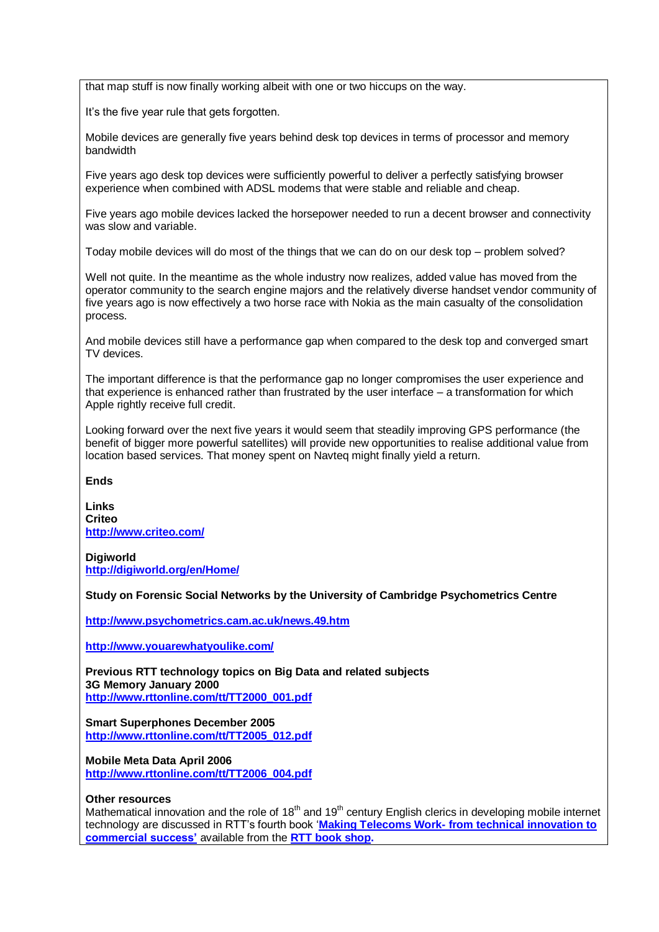that map stuff is now finally working albeit with one or two hiccups on the way.

It's the five year rule that gets forgotten.

Mobile devices are generally five years behind desk top devices in terms of processor and memory bandwidth

Five years ago desk top devices were sufficiently powerful to deliver a perfectly satisfying browser experience when combined with ADSL modems that were stable and reliable and cheap.

Five years ago mobile devices lacked the horsepower needed to run a decent browser and connectivity was slow and variable.

Today mobile devices will do most of the things that we can do on our desk top – problem solved?

Well not quite. In the meantime as the whole industry now realizes, added value has moved from the operator community to the search engine majors and the relatively diverse handset vendor community of five years ago is now effectively a two horse race with Nokia as the main casualty of the consolidation process.

And mobile devices still have a performance gap when compared to the desk top and converged smart TV devices.

The important difference is that the performance gap no longer compromises the user experience and that experience is enhanced rather than frustrated by the user interface – a transformation for which Apple rightly receive full credit.

Looking forward over the next five years it would seem that steadily improving GPS performance (the benefit of bigger more powerful satellites) will provide new opportunities to realise additional value from location based services. That money spent on Navteq might finally yield a return.

**Ends**

**Links Criteo <http://www.criteo.com/>**

**Digiworld <http://digiworld.org/en/Home/>**

**Study on Forensic Social Networks by the University of Cambridge Psychometrics Centre** 

**<http://www.psychometrics.cam.ac.uk/news.49.htm>**

**<http://www.youarewhatyoulike.com/>**

**Previous RTT technology topics on Big Data and related subjects 3G Memory January 2000 [http://www.rttonline.com/tt/TT2000\\_001.pdf](http://www.rttonline.com/tt/TT2000_001.pdf)**

**Smart Superphones December 2005 [http://www.rttonline.com/tt/TT2005\\_012.pdf](http://www.rttonline.com/tt/TT2005_012.pdf)**

**Mobile Meta Data April 2006 [http://www.rttonline.com/tt/TT2006\\_004.pdf](http://www.rttonline.com/tt/TT2006_004.pdf)**

#### **Other resources**

Mathematical innovation and the role of 18<sup>th</sup> and 19<sup>th</sup> century English clerics in developing mobile internet technology are discussed in RTT's fourth book '**Making Telecoms Work- [from technical innovation to](http://www.rttonline.com/bookshop.html)  [commercial success'](http://www.rttonline.com/bookshop.html)** available from the **[RTT book shop.](http://www.rttonline.com/bookshop.html)**